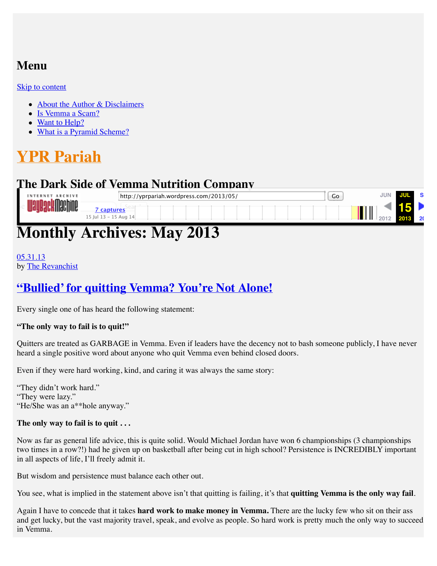# **Menu**

#### [Skip to content](http://web.archive.org/web/20130715015435/http://yprpariah.wordpress.com/2013/05/#content)

- [About the Author & Disclaimers](http://web.archive.org/web/20130715015435/http://yprpariah.wordpress.com/about/)
- [Is Vemma a Scam?](http://web.archive.org/web/20130715015435/http://yprpariah.wordpress.com/is-vemma-a-scam/)
- [Want to Help?](http://web.archive.org/web/20130715015435/http://yprpariah.wordpress.com/like-my-blog/)
- [What is a Pyramid Scheme?](http://web.archive.org/web/20130715015435/http://yprpariah.wordpress.com/what-is-a-pyramid-scheme/)

# **[YPR Pariah](http://web.archive.org/web/20130715015435/http://yprpariah.wordpress.com/)**

# **The Dark Side of Vemma Nutrition Company**



# **Monthly Archives: May 2013**

#### [05.31.13](http://web.archive.org/web/20130715015435/http://yprpariah.wordpress.com/2013/05/31/bullied-for-quitting-vemma-youre-smart/) by [The Revanchist](http://web.archive.org/web/20130715015435/http://yprpariah.wordpress.com/author/90210revanchist/)

# **["Bullied' for quitting Vemma? You're Not Alone!](http://web.archive.org/web/20130715015435/http://yprpariah.wordpress.com/2013/05/31/bullied-for-quitting-vemma-youre-smart/)**

Every single one of has heard the following statement:

#### **"The only way to fail is to quit!"**

Quitters are treated as GARBAGE in Vemma. Even if leaders have the decency not to bash someone publicly, I have never heard a single positive word about anyone who quit Vemma even behind closed doors.

Even if they were hard working, kind, and caring it was always the same story:

"They didn't work hard." "They were lazy." "He/She was an a\*\*hole anyway."

#### **The only way to fail is to quit . . .**

Now as far as general life advice, this is quite solid. Would Michael Jordan have won 6 championships (3 championships two times in a row?!) had he given up on basketball after being cut in high school? Persistence is INCREDIBLY important in all aspects of life, I'll freely admit it.

But wisdom and persistence must balance each other out.

You see, what is implied in the statement above isn't that quitting is failing, it's that **quitting Vemma is the only way fail**.

Again I have to concede that it takes **hard work to make money in Vemma.** There are the lucky few who sit on their ass and get lucky, but the vast majority travel, speak, and evolve as people. So hard work is pretty much the only way to succeed in Vemma.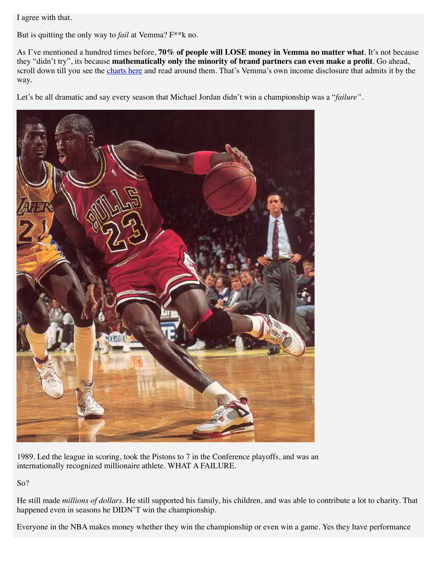I agree with that.

But is quitting the only way to *fail* at Vemma? F\*\*k no.

As I've mentioned a hundred times before, **70% of people will LOSE money in Vemma no matter what**. It's not because they "didn't try", its because **mathematically only the minority of brand partners can even make a profit**. Go ahead, scroll down till you see the [charts here](http://web.archive.org/web/20130715015435/http://yprpariah.wordpress.com/2013/05/28/the-famed-alex-morton-video/) and read around them. That's Vemma's own income disclosure that admits it by the way.

Let's be all dramatic and say every season that Michael Jordan didn't win a championship was a "*failure"*.



1989. Led the league in scoring, took the Pistons to 7 in the Conference playoffs, and was an internationally recognized millionaire athlete. WHAT A FAILURE.

So?

He still made *millions of dollars.* He still supported his family, his children, and was able to contribute a lot to charity. That happened even in seasons he DIDN'T win the championship.

Everyone in the NBA makes money whether they win the championship or even win a game. Yes they have performance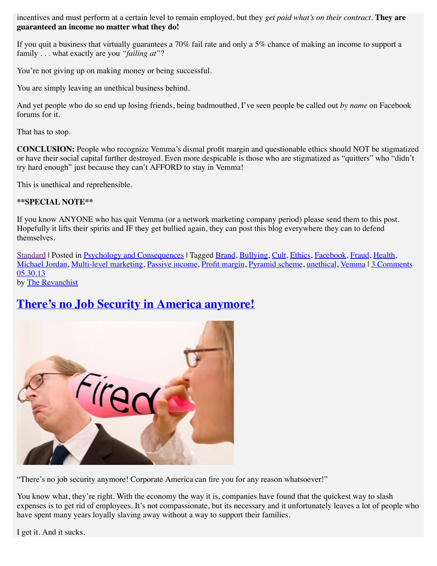incentives and must perform at a certain level to remain employed, but they *get paid what's on their contract*. **They are guaranteed an income no matter what they do!**

If you quit a business that virtually guarantees a 70% fail rate and only a 5% chance of making an income to support a family . . . what exactly are you *"failing at"*?

You're not giving up on making money or being successful.

You are simply leaving an unethical business behind.

And yet people who do so end up losing friends, being badmouthed, I've seen people be called out *by name* on Facebook forums for it.

That has to stop.

**CONCLUSION:** People who recognize Vemma's dismal profit margin and questionable ethics should NOT be stigmatized or have their social capital further destroyed. Even more despicable is those who are stigmatized as "quitters" who "didn't try hard enough" just because they can't AFFORD to stay in Vemma!

This is unethical and reprehensible.

#### **\*\*SPECIAL NOTE\*\***

If you know ANYONE who has quit Vemma (or a network marketing company period) please send them to this post. Hopefully it lifts their spirits and IF they get bullied again, they can post this blog everywhere they can to defend themselves.

[Standard](http://web.archive.org/web/20130715015435/http://yprpariah.wordpress.com/2013/05/) | Posted in [Psychology and Consequences](http://web.archive.org/web/20130715015435/http://yprpariah.wordpress.com/category/cons-of-vemma/psychology-and-consequences/) | Tagged [Brand,](http://web.archive.org/web/20130715015435/http://yprpariah.wordpress.com/tag/brand/) [Bullying,](http://web.archive.org/web/20130715015435/http://yprpariah.wordpress.com/tag/bullying/) [Cult,](http://web.archive.org/web/20130715015435/http://yprpariah.wordpress.com/tag/cult/) [Ethics,](http://web.archive.org/web/20130715015435/http://yprpariah.wordpress.com/tag/ethics/) [Facebook,](http://web.archive.org/web/20130715015435/http://yprpariah.wordpress.com/tag/facebook/) [Fraud,](http://web.archive.org/web/20130715015435/http://yprpariah.wordpress.com/tag/fraud/) [Health,](http://web.archive.org/web/20130715015435/http://yprpariah.wordpress.com/tag/health/) [Michael Jordan,](http://web.archive.org/web/20130715015435/http://yprpariah.wordpress.com/tag/michael-jordan/) [Multi-level marketing](http://web.archive.org/web/20130715015435/http://yprpariah.wordpress.com/tag/multi-level-marketing/), [Passive income,](http://web.archive.org/web/20130715015435/http://yprpariah.wordpress.com/tag/passive-income/) [Profit margin,](http://web.archive.org/web/20130715015435/http://yprpariah.wordpress.com/tag/profit-margin/) [Pyramid scheme](http://web.archive.org/web/20130715015435/http://yprpariah.wordpress.com/tag/pyramid-scheme/), [unethical,](http://web.archive.org/web/20130715015435/http://yprpariah.wordpress.com/tag/unethical/) [Vemma](http://web.archive.org/web/20130715015435/http://yprpariah.wordpress.com/tag/vemma/) | [3 Comments](http://web.archive.org/web/20130715015435/http://yprpariah.wordpress.com/2013/05/31/bullied-for-quitting-vemma-youre-smart/#comments) [05.30.13](http://web.archive.org/web/20130715015435/http://yprpariah.wordpress.com/2013/05/30/theres-no-job-security-in-america-anymore/)

by [The Revanchist](http://web.archive.org/web/20130715015435/http://yprpariah.wordpress.com/author/90210revanchist/)

## **[There's no Job Security in America anymore!](http://web.archive.org/web/20130715015435/http://yprpariah.wordpress.com/2013/05/30/theres-no-job-security-in-america-anymore/)**



"There's no job security anymore! Corporate America can fire you for any reason whatsoever!"

You know what, they're right. With the economy the way it is, companies have found that the quickest way to slash expenses is to get rid of employees. It's not compassionate, but its necessary and it unfortunately leaves a lot of people who have spent many years loyally slaving away without a way to support their families.

I get it. And it sucks.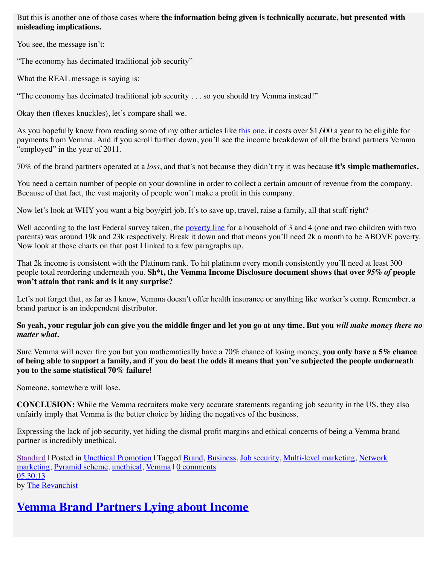But this is another one of those cases where **the information being given is technically accurate, but presented with misleading implications.** 

You see, the message isn't:

"The economy has decimated traditional job security"

What the REAL message is saying is:

"The economy has decimated traditional job security . . . so you should try Vemma instead!"

Okay then (flexes knuckles), let's compare shall we.

As you hopefully know from reading some of my other articles like [this one,](http://web.archive.org/web/20130715015435/http://yprpariah.wordpress.com/2013/05/28/the-famed-alex-morton-video/) it costs over \$1,600 a year to be eligible for payments from Vemma. And if you scroll further down, you'll see the income breakdown of all the brand partners Vemma "employed" in the year of 2011.

70% of the brand partners operated at a *loss*, and that's not because they didn't try it was because **it's simple mathematics.** 

You need a certain number of people on your downline in order to collect a certain amount of revenue from the company. Because of that fact, the vast majority of people won't make a profit in this company.

Now let's look at WHY you want a big boy/girl job. It's to save up, travel, raise a family, all that stuff right?

Well according to the last Federal survey taken, the [poverty line](http://web.archive.org/web/20130715015435/http://aspe.hhs.gov/poverty/12poverty.shtml) for a household of 3 and 4 (one and two children with two parents) was around 19k and 23k respectively. Break it down and that means you'll need 2k a month to be ABOVE poverty. Now look at those charts on that post I linked to a few paragraphs up.

That 2k income is consistent with the Platinum rank. To hit platinum every month consistently you'll need at least 300 people total reordering underneath you. **Sh\*t, the Vemma Income Disclosure document shows that over** *95% of* **people won't attain that rank and is it any surprise?** 

Let's not forget that, as far as I know, Vemma doesn't offer health insurance or anything like worker's comp. Remember, a brand partner is an independent distributor.

**So yeah, your regular job can give you the middle finger and let you go at any time. But you** *will make money there no matter what***.** 

Sure Vemma will never fire you but you mathematically have a 70% chance of losing money, **you only have a 5% chance of being able to support a family, and if you do beat the odds it means that you've subjected the people underneath you to the same statistical 70% failure!**

Someone, somewhere will lose.

**CONCLUSION:** While the Vemma recruiters make very accurate statements regarding job security in the US, they also unfairly imply that Vemma is the better choice by hiding the negatives of the business.

Expressing the lack of job security, yet hiding the dismal profit margins and ethical concerns of being a Vemma brand partner is incredibly unethical.

[Standard](http://web.archive.org/web/20130715015435/http://yprpariah.wordpress.com/2013/05/) | Posted in [Unethical Promotion](http://web.archive.org/web/20130715015435/http://yprpariah.wordpress.com/category/cons-of-vemma/unethical-promotion/) [| Tagged B](http://web.archive.org/web/20130715015435/http://yprpariah.wordpress.com/tag/network-marketing/)[rand](http://web.archive.org/web/20130715015435/http://yprpariah.wordpress.com/tag/brand/)[,](http://web.archive.org/web/20130715015435/http://yprpariah.wordpress.com/tag/network-marketing/) [Business](http://web.archive.org/web/20130715015435/http://yprpariah.wordpress.com/tag/business/)[, J](http://web.archive.org/web/20130715015435/http://yprpariah.wordpress.com/tag/network-marketing/)[ob security](http://web.archive.org/web/20130715015435/http://yprpariah.wordpress.com/tag/job-security/)[,](http://web.archive.org/web/20130715015435/http://yprpariah.wordpress.com/tag/network-marketing/) [Multi-level marketing](http://web.archive.org/web/20130715015435/http://yprpariah.wordpress.com/tag/multi-level-marketing/)[, Network](http://web.archive.org/web/20130715015435/http://yprpariah.wordpress.com/tag/network-marketing/) marketing, [Pyramid scheme,](http://web.archive.org/web/20130715015435/http://yprpariah.wordpress.com/tag/pyramid-scheme/) [unethical,](http://web.archive.org/web/20130715015435/http://yprpariah.wordpress.com/tag/unethical/) [Vemma](http://web.archive.org/web/20130715015435/http://yprpariah.wordpress.com/tag/vemma/) | [0 comments](http://web.archive.org/web/20130715015435/http://yprpariah.wordpress.com/2013/05/30/theres-no-job-security-in-america-anymore/#respond) [05.30.13](http://web.archive.org/web/20130715015435/http://yprpariah.wordpress.com/2013/05/30/brand-partners-lying-about-income/) by [The Revanchist](http://web.archive.org/web/20130715015435/http://yprpariah.wordpress.com/author/90210revanchist/)

# **[Vemma Brand Partners Lying about Income](http://web.archive.org/web/20130715015435/http://yprpariah.wordpress.com/2013/05/30/brand-partners-lying-about-income/)**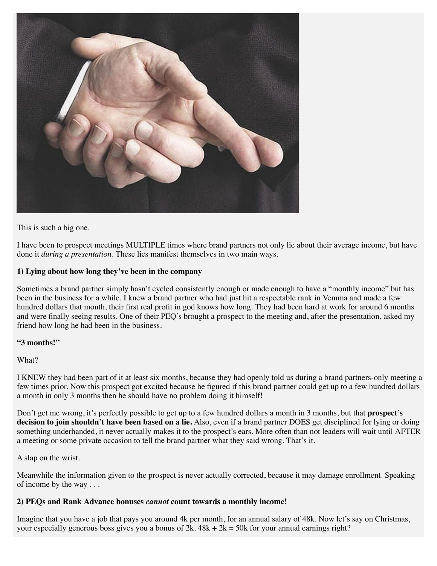

This is such a big one.

I have been to prospect meetings MULTIPLE times where brand partners not only lie about their average income, but have done it *during a presentation*. These lies manifest themselves in two main ways.

#### **1) Lying about how long they've been in the company**

Sometimes a brand partner simply hasn't cycled consistently enough or made enough to have a "monthly income" but has been in the business for a while. I knew a brand partner who had just hit a respectable rank in Vemma and made a few hundred dollars that month, their first real profit in god knows how long. They had been hard at work for around 6 months and were finally seeing results. One of their PEQ's brought a prospect to the meeting and, after the presentation, asked my friend how long he had been in the business.

#### **"3 months!"**

What?

I KNEW they had been part of it at least six months, because they had openly told us during a brand partners-only meeting a few times prior. Now this prospect got excited because he figured if this brand partner could get up to a few hundred dollars a month in only 3 months then he should have no problem doing it himself!

Don't get me wrong, it's perfectly possible to get up to a few hundred dollars a month in 3 months, but that **prospect's decision to join shouldn't have been based on a lie.** Also, even if a brand partner DOES get disciplined for lying or doing something underhanded, it never actually makes it to the prospect's ears. More often than not leaders will wait until AFTER a meeting or some private occasion to tell the brand partner what they said wrong. That's it.

A slap on the wrist.

Meanwhile the information given to the prospect is never actually corrected, because it may damage enrollment. Speaking of income by the way . . .

#### **2) PEQs and Rank Advance bonuses** *cannot* **count towards a monthly income!**

Imagine that you have a job that pays you around 4k per month, for an annual salary of 48k. Now let's say on Christmas, your especially generous boss gives you a bonus of  $2k$ .  $48k + 2k = 50k$  for your annual earnings right?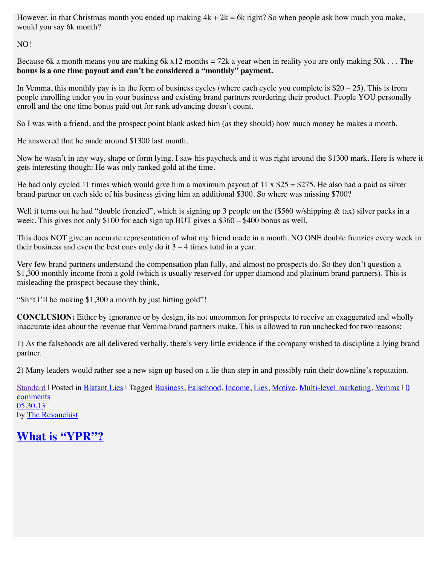However, in that Christmas month you ended up making  $4k + 2k = 6k$  right? So when people ask how much you make, would you say 6k month?

NO!

Because 6k a month means you are making 6k x12 months = 72k a year when in reality you are only making 50k . . . **The bonus is a one time payout and can't be considered a "monthly" payment.**

In Vemma, this monthly pay is in the form of business cycles (where each cycle you complete is  $$20 - 25$ ). This is from people enrolling under you in your business and existing brand partners reordering their product. People YOU personally enroll and the one time bonus paid out for rank advancing doesn't count.

So I was with a friend, and the prospect point blank asked him (as they should) how much money he makes a month.

He answered that he made around \$1300 last month.

Now he wasn't in any way, shape or form lying. I saw his paycheck and it was right around the \$1300 mark. Here is where it gets interesting though: He was only ranked gold at the time.

He had only cycled 11 times which would give him a maximum payout of 11 x  $$25 = $275$ . He also had a paid as silver brand partner on each side of his business giving him an additional \$300. So where was missing \$700?

Well it turns out he had "double frenzied", which is signing up 3 people on the  $(\$560 \text{ w/shipping} \& \text{tax})$  silver packs in a week. This gives not only \$100 for each sign up BUT gives a \$360 – \$400 bonus as well.

This does NOT give an accurate representation of what my friend made in a month. NO ONE double frenzies every week in their business and even the best ones only do it  $3 - 4$  times total in a year.

Very few brand partners understand the compensation plan fully, and almost no prospects do. So they don't question a \$1,300 monthly income from a gold (which is usually reserved for upper diamond and platinum brand partners). This is misleading the prospect because they think,

"Sh\*t I'll be making \$1,300 a month by just hitting gold"!

**CONCLUSION:** Either by ignorance or by design, its not uncommon for prospects to receive an exaggerated and wholly inaccurate idea about the revenue that Vemma brand partners make. This is allowed to run unchecked for two reasons:

1) As the falsehoods are all delivered verbally, there's very little evidence if the company wished to discipline a lying brand partner.

2) Many leaders would rather see a new sign up based on a lie than step in and possibly ruin their downline's reputation.

[Standard](http://web.archive.org/web/20130715015435/http://yprpariah.wordpress.com/2013/05/) | Posted in [Blatant Lies](http://web.archive.org/web/20130715015435/http://yprpariah.wordpress.com/category/cons-of-vemma/blatant-lies/) [| Tagged B](http://web.archive.org/web/20130715015435/http://yprpariah.wordpress.com/2013/05/30/brand-partners-lying-about-income/#respond)[usiness](http://web.archive.org/web/20130715015435/http://yprpariah.wordpress.com/tag/business/)[,](http://web.archive.org/web/20130715015435/http://yprpariah.wordpress.com/2013/05/30/brand-partners-lying-about-income/#respond) [Falsehoo](http://web.archive.org/web/20130715015435/http://yprpariah.wordpress.com/tag/falsehood/)[d,](http://web.archive.org/web/20130715015435/http://yprpariah.wordpress.com/2013/05/30/brand-partners-lying-about-income/#respond) [Income](http://web.archive.org/web/20130715015435/http://yprpariah.wordpress.com/tag/income/), [Lies](http://web.archive.org/web/20130715015435/http://yprpariah.wordpress.com/tag/lies/), [Motive](http://web.archive.org/web/20130715015435/http://yprpariah.wordpress.com/tag/motive/), [Multi-level marketing](http://web.archive.org/web/20130715015435/http://yprpariah.wordpress.com/tag/multi-level-marketing/)[, V](http://web.archive.org/web/20130715015435/http://yprpariah.wordpress.com/2013/05/30/brand-partners-lying-about-income/#respond)[emma](http://web.archive.org/web/20130715015435/http://yprpariah.wordpress.com/tag/vemma/) | 0 comments [05.30.13](http://web.archive.org/web/20130715015435/http://yprpariah.wordpress.com/2013/05/30/what-is-ypr/) by [The Revanchist](http://web.archive.org/web/20130715015435/http://yprpariah.wordpress.com/author/90210revanchist/)

# **[What is "YPR"?](http://web.archive.org/web/20130715015435/http://yprpariah.wordpress.com/2013/05/30/what-is-ypr/)**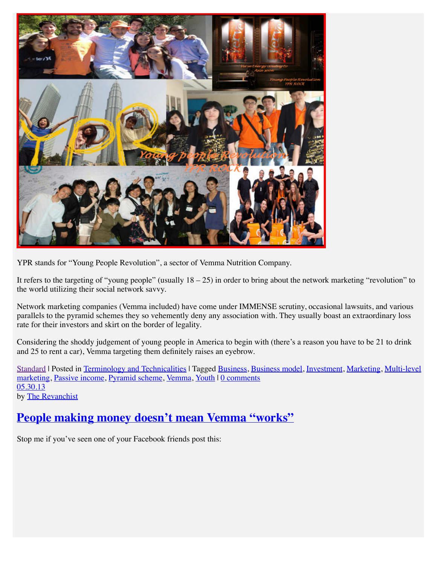

YPR stands for "Young People Revolution", a sector of Vemma Nutrition Company.

It refers to the targeting of "young people" (usually  $18 - 25$ ) in order to bring about the network marketing "revolution" to the world utilizing their social network savvy.

Network marketing companies (Vemma included) have come under IMMENSE scrutiny, occasional lawsuits, and various parallels to the pyramid schemes they so vehemently deny any association with. They usually boast an extraordinary loss rate for their investors and skirt on the border of legality.

Considering the shoddy judgement of young people in America to begin with (there's a reason you have to be 21 to drink and 25 to rent a car), Vemma targeting them definitely raises an eyebrow.

[Standard](http://web.archive.org/web/20130715015435/http://yprpariah.wordpress.com/2013/05/) | Posted in [Terminology and Technicalities](http://web.archive.org/web/20130715015435/http://yprpariah.wordpress.com/category/terminology-and-technicalities/) [| Tagged](http://web.archive.org/web/20130715015435/http://yprpariah.wordpress.com/tag/multi-level-marketing/) [Business](http://web.archive.org/web/20130715015435/http://yprpariah.wordpress.com/tag/business/)[, B](http://web.archive.org/web/20130715015435/http://yprpariah.wordpress.com/tag/multi-level-marketing/)[usiness model](http://web.archive.org/web/20130715015435/http://yprpariah.wordpress.com/tag/business-model/)[,](http://web.archive.org/web/20130715015435/http://yprpariah.wordpress.com/tag/multi-level-marketing/) [Investment](http://web.archive.org/web/20130715015435/http://yprpariah.wordpress.com/tag/investment/)[, M](http://web.archive.org/web/20130715015435/http://yprpariah.wordpress.com/tag/multi-level-marketing/)[arketin](http://web.archive.org/web/20130715015435/http://yprpariah.wordpress.com/tag/marketing/)[g, Multi-level](http://web.archive.org/web/20130715015435/http://yprpariah.wordpress.com/tag/multi-level-marketing/) marketing, [Passive income](http://web.archive.org/web/20130715015435/http://yprpariah.wordpress.com/tag/passive-income/), [Pyramid scheme,](http://web.archive.org/web/20130715015435/http://yprpariah.wordpress.com/tag/pyramid-scheme/) [Vemma,](http://web.archive.org/web/20130715015435/http://yprpariah.wordpress.com/tag/vemma/) [Youth](http://web.archive.org/web/20130715015435/http://yprpariah.wordpress.com/tag/youth/) | [0 comments](http://web.archive.org/web/20130715015435/http://yprpariah.wordpress.com/2013/05/30/what-is-ypr/#respond) [05.30.13](http://web.archive.org/web/20130715015435/http://yprpariah.wordpress.com/2013/05/30/people-making-money-doesnt-mean-vemma-works/) by [The Revanchist](http://web.archive.org/web/20130715015435/http://yprpariah.wordpress.com/author/90210revanchist/)

# **[People making money doesn't mean Vemma "works"](http://web.archive.org/web/20130715015435/http://yprpariah.wordpress.com/2013/05/30/people-making-money-doesnt-mean-vemma-works/)**

Stop me if you've seen one of your Facebook friends post this: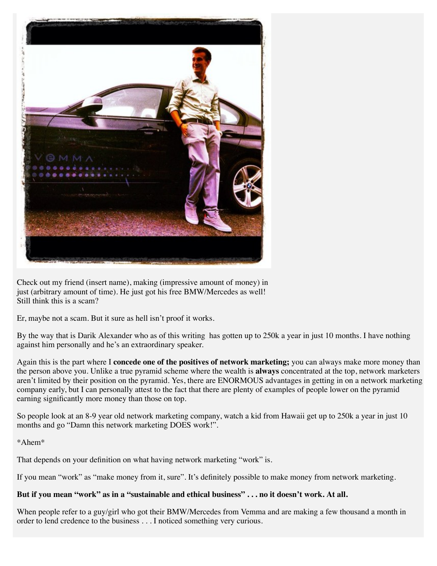

Check out my friend (insert name), making (impressive amount of money) in just (arbitrary amount of time). He just got his free BMW/Mercedes as well! Still think this is a scam?

Er, maybe not a scam. But it sure as hell isn't proof it works.

By the way that is Darik Alexander who as of this writing has gotten up to 250k a year in just 10 months. I have nothing against him personally and he's an extraordinary speaker.

Again this is the part where I **concede one of the positives of network marketing;** you can always make more money than the person above you. Unlike a true pyramid scheme where the wealth is **always** concentrated at the top, network marketers aren't limited by their position on the pyramid. Yes, there are ENORMOUS advantages in getting in on a network marketing company early, but I can personally attest to the fact that there are plenty of examples of people lower on the pyramid earning significantly more money than those on top.

So people look at an 8-9 year old network marketing company, watch a kid from Hawaii get up to 250k a year in just 10 months and go "Damn this network marketing DOES work!".

\*Ahem\*

That depends on your definition on what having network marketing "work" is.

If you mean "work" as "make money from it, sure". It's definitely possible to make money from network marketing.

#### **But if you mean "work" as in a "sustainable and ethical business" . . . no it doesn't work. At all.**

When people refer to a guy/girl who got their BMW/Mercedes from Vemma and are making a few thousand a month in order to lend credence to the business . . . I noticed something very curious.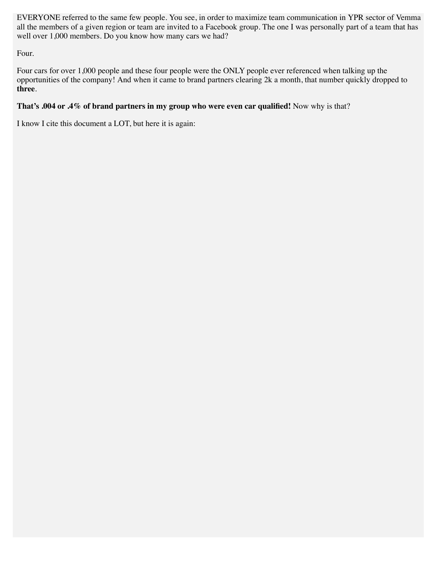EVERYONE referred to the same few people. You see, in order to maximize team communication in YPR sector of Vemma all the members of a given region or team are invited to a Facebook group. The one I was personally part of a team that has well over 1,000 members. Do you know how many cars we had?

Four.

Four cars for over 1,000 people and these four people were the ONLY people ever referenced when talking up the opportunities of the company! And when it came to brand partners clearing 2k a month, that number quickly dropped to **three**.

#### **That's .004 or .4% of brand partners in my group who were even car qualified!** Now why is that?

I know I cite this document a LOT, but here it is again: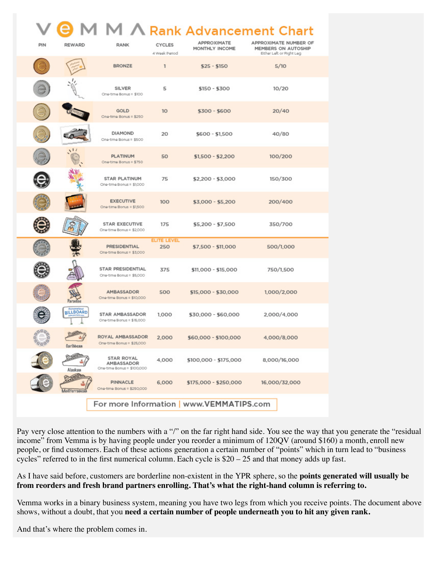|                                          |                                         |                                                               |                                |                               | A Rank Advancement Chart                                                 |
|------------------------------------------|-----------------------------------------|---------------------------------------------------------------|--------------------------------|-------------------------------|--------------------------------------------------------------------------|
| PIN                                      | <b>REWARD</b>                           | <b>RANK</b>                                                   | <b>CYCLES</b><br>4 Week Period | APPROXIMATE<br>MONTHLY INCOME | APPROXIMATE NUMBER OF<br>MEMBERS ON AUTOSHIP<br>Either Left or Right Leg |
|                                          |                                         | <b>BRONZE</b>                                                 | $\mathbf{1}$                   | $$25 - $150$                  | 5/10                                                                     |
|                                          |                                         | SILVER<br>One-time Bonus = \$100                              | 5                              | \$150 - \$300                 | 10/20                                                                    |
|                                          |                                         | GOLD<br>One-time Bonus = \$250                                | 10                             | \$300 - \$600                 | 20/40                                                                    |
|                                          |                                         | DIAMOND<br>One-time Bonus = \$500                             | 20                             | $$600 - $1,500$               | 40/80                                                                    |
|                                          | $\mathcal{N}^{\dagger}$                 | <b>PLATINUM</b><br>One-time Bonus = \$750                     | 50                             | $$1,500 - $2,200$             | 100/200                                                                  |
|                                          |                                         | <b>STAR PLATINUM</b><br>One-time Bonus = \$1,000              | 75                             | \$2,200 - \$3,000             | 150/300                                                                  |
|                                          |                                         | <b>EXECUTIVE</b><br>One-time Bonus = \$1,500                  | 100                            | $$3,000 - $5,200$             | 200/400                                                                  |
|                                          |                                         | <b>STAR EXECUTIVE</b><br>One-time Bonus = \$2,000             | 175                            | \$5,200 - \$7,500             | 350/700                                                                  |
|                                          |                                         | <b>PRESIDENTIAL</b><br>One-time Bonus = \$3,000               | <b>ELITE LEVEL</b><br>250      | \$7,500 - \$11,000            | 500/1,000                                                                |
|                                          |                                         | STAR PRESIDENTIAL<br>One-time Bonus = \$5,000                 | 375                            | \$11,000 - \$15,000           | 750/1,500                                                                |
|                                          | Paradise                                | AMBASSADOR<br>One-time Bonus = \$10,000                       | 500                            | \$15,000 - \$30,000           | 1,000/2,000                                                              |
|                                          | <b>Barnonializa</b><br><b>BILLBOARD</b> | STAR AMBASSADOR<br>One-time Bonus = \$15,000                  | 1,000                          | \$30,000 - \$60,000           | 2,000/4,000                                                              |
| 60ó                                      | Caribbean                               | ROYAL AMBASSADOR<br>One-time Bonus = \$25,000                 | 2.000                          | \$60,000 - \$100,000          | 4.000/8.000                                                              |
|                                          | Alaskan                                 | <b>STAR ROYAL</b><br>AMBASSADOR<br>One-time Bonus = \$100,000 | 4,000                          | \$100,000 - \$175,000         | 8,000/16,000                                                             |
|                                          | lediterranean                           | <b>PINNACLE</b><br>One-time Bonus = \$250,000                 | 6,000                          | \$175,000 - \$250,000         | 16,000/32,000                                                            |
| For more Information   www.VEMMATIPS.com |                                         |                                                               |                                |                               |                                                                          |

Pay very close attention to the numbers with a "/" on the far right hand side. You see the way that you generate the "residual income" from Vemma is by having people under you reorder a minimum of 120QV (around \$160) a month, enroll new people, or find customers. Each of these actions generation a certain number of "points" which in turn lead to "business cycles" referred to in the first numerical column. Each cycle is \$20 – 25 and that money adds up fast.

As I have said before, customers are borderline non-existent in the YPR sphere, so the **points generated will usually be from reorders and fresh brand partners enrolling. That's what the right-hand column is referring to.**

Vemma works in a binary business system, meaning you have two legs from which you receive points. The document above shows, without a doubt, that you **need a certain number of people underneath you to hit any given rank.**

And that's where the problem comes in.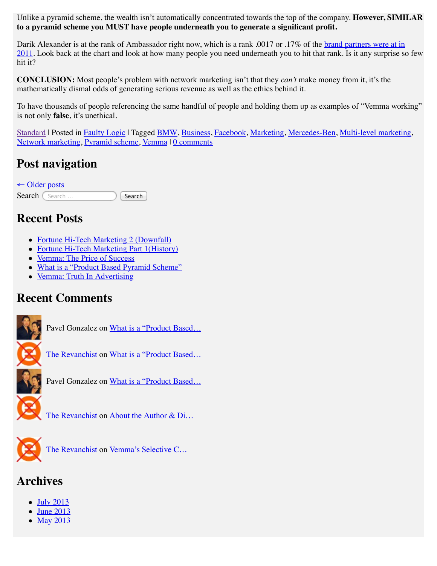Unlike a pyramid scheme, the wealth isn't automatically concentrated towards the top of the company. **However, SIMILAR to a pyramid scheme you MUST have people underneath you to generate a significant profit.**

Darik Alexander is at the rank of Ambassador right now, which is a rank .0017 or .17% of the brand partners were at in [2011. Look back at the chart and look at how many people you need underneath you to hit that rank. Is it any surprise so](http://web.archive.org/web/20130715015435/http://howtolivehealthy.net/docs/2011-income-disclosure.pdf) few hit it?

**CONCLUSION:** Most people's problem with network marketing isn't that they *can't* make money from it, it's the mathematically dismal odds of generating serious revenue as well as the ethics behind it.

To have thousands of people referencing the same handful of people and holding them up as examples of "Vemma working" is not only **false**, it's unethical.

[Standard](http://web.archive.org/web/20130715015435/http://yprpariah.wordpress.com/2013/05/) | Posted in [Faulty Logic](http://web.archive.org/web/20130715015435/http://yprpariah.wordpress.com/category/cons-of-vemma/faulty-logic/) | Tagged [BMW,](http://web.archive.org/web/20130715015435/http://yprpariah.wordpress.com/tag/bmw/) [Business,](http://web.archive.org/web/20130715015435/http://yprpariah.wordpress.com/tag/business/) [Facebook,](http://web.archive.org/web/20130715015435/http://yprpariah.wordpress.com/tag/facebook/) [Marketing,](http://web.archive.org/web/20130715015435/http://yprpariah.wordpress.com/tag/marketing/) [Mercedes-Ben,](http://web.archive.org/web/20130715015435/http://yprpariah.wordpress.com/tag/mercedes-ben/) [Multi-level marketing,](http://web.archive.org/web/20130715015435/http://yprpariah.wordpress.com/tag/multi-level-marketing/) [Network marketing,](http://web.archive.org/web/20130715015435/http://yprpariah.wordpress.com/tag/network-marketing/) [Pyramid scheme,](http://web.archive.org/web/20130715015435/http://yprpariah.wordpress.com/tag/pyramid-scheme/) [Vemma](http://web.archive.org/web/20130715015435/http://yprpariah.wordpress.com/tag/vemma/) | [0 comments](http://web.archive.org/web/20130715015435/http://yprpariah.wordpress.com/2013/05/30/people-making-money-doesnt-mean-vemma-works/#respond)

## **Post navigation**

 $\leftarrow$  [Older posts](http://web.archive.org/web/20130715015435/http://yprpariah.wordpress.com/2013/05/page/2/) Search (Search … ) Search

### **Recent Posts**

- [Fortune Hi-Tech Marketing 2 \(Downfall\)](http://web.archive.org/web/20130715015435/http://yprpariah.wordpress.com/2013/07/14/fortune-hi-tech-marketing-2-downfall/)
- [Fortune Hi-Tech Marketing Part 1\(History\)](http://web.archive.org/web/20130715015435/http://yprpariah.wordpress.com/2013/07/13/fortune-hi-tech-marketing-part-1history/)
- [Vemma: The Price of Success](http://web.archive.org/web/20130715015435/http://yprpariah.wordpress.com/2013/07/12/vemma-the-price-of-success/)
- [What is a "Product Based Pyramid Scheme"](http://web.archive.org/web/20130715015435/http://yprpariah.wordpress.com/2013/07/12/what-is-a-product-based-pyramid-scheme/)
- [Vemma: Truth In Advertising](http://web.archive.org/web/20130715015435/http://yprpariah.wordpress.com/2013/07/10/vemma-truth-in-advertising/)

### **Recent Comments**



Pavel Gonzalez on [What is a "Product Based…](http://web.archive.org/web/20130715015435/http://yprpariah.wordpress.com/2013/07/12/what-is-a-product-based-pyramid-scheme/#comment-218)

[The Revanchist](http://web.archive.org/web/20130715015435/http://yprpariah.wordpress.com/) on What is a "Product Based...



Pavel Gonzalez on [What is a "Product Based…](http://web.archive.org/web/20130715015435/http://yprpariah.wordpress.com/2013/07/12/what-is-a-product-based-pyramid-scheme/#comment-216)



[The Revanchist](http://web.archive.org/web/20130715015435/http://yprpariah.wordpress.com/) on About the Author & Di...



[The Revanchist](http://web.archive.org/web/20130715015435/http://yprpariah.wordpress.com/) on [Vemma's Selective C…](http://web.archive.org/web/20130715015435/http://yprpariah.wordpress.com/2013/06/11/vemmas-selective-censorship/#comment-212)

# **Archives**

- [July 2013](http://web.archive.org/web/20130715015435/http://yprpariah.wordpress.com/2013/07/)
- [June 2013](http://web.archive.org/web/20130715015435/http://yprpariah.wordpress.com/2013/06/)
- [May 2013](http://web.archive.org/web/20130715015435/http://yprpariah.wordpress.com/2013/05/)